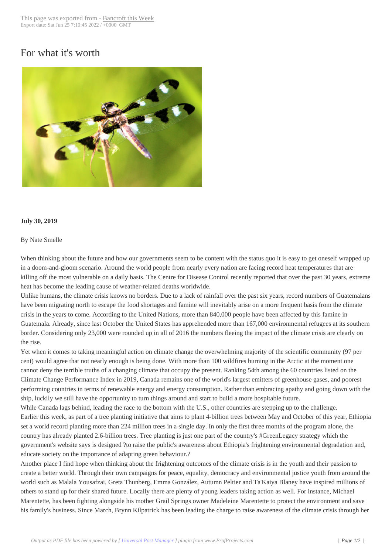## For what it's worth



## **July 30, 2019**

## By Nate Smelle

When thinking about the future and how our governments seem to be content with the status quo it is easy to get oneself wrapped up in a doom-and-gloom scenario. Around the world people from nearly every nation are facing record heat temperatures that are killing off the most vulnerable on a daily basis. The Centre for Disease Control recently reported that over the past 30 years, extreme heat has become the leading cause of weather-related deaths worldwide.

Unlike humans, the climate crisis knows no borders. Due to a lack of rainfall over the past six years, record numbers of Guatemalans have been migrating north to escape the food shortages and famine will inevitably arise on a more frequent basis from the climate crisis in the years to come. According to the United Nations, more than 840,000 people have been affected by this famine in Guatemala. Already, since last October the United States has apprehended more than 167,000 environmental refugees at its southern border. Considering only 23,000 were rounded up in all of 2016 the numbers fleeing the impact of the climate crisis are clearly on the rise.

Yet when it comes to taking meaningful action on climate change the overwhelming majority of the scientific community (97 per cent) would agree that not nearly enough is being done. With more than 100 wildfires burning in the Arctic at the moment one cannot deny the terrible truths of a changing climate that occupy the present. Ranking 54th among the 60 countries listed on the Climate Change Performance Index in 2019, Canada remains one of the world's largest emitters of greenhouse gases, and poorest performing countries in terms of renewable energy and energy consumption. Rather than embracing apathy and going down with the ship, luckily we still have the opportunity to turn things around and start to build a more hospitable future.

While Canada lags behind, leading the race to the bottom with the U.S., other countries are stepping up to the challenge. Earlier this week, as part of a tree planting initiative that aims to plant 4-billion trees between May and October of this year, Ethiopia set a world record planting more than 224 million trees in a single day. In only the first three months of the program alone, the country has already planted 2.6-billion trees. Tree planting is just one part of the country's #GreenLegacy strategy which the government's website says is designed ?to raise the public's awareness about Ethiopia's frightening environmental degradation and, educate society on the importance of adapting green behaviour.?

Another place I find hope when thinking about the frightening outcomes of the climate crisis is in the youth and their passion to create a better world. Through their own campaigns for peace, equality, democracy and environmental justice youth from around the world such as Malala Yousafzai, Greta Thunberg, Emma González, Autumn Peltier and Ta'Kaiya Blaney have inspired millions of others to stand up for their shared future. Locally there are plenty of young leaders taking action as well. For instance, Michael Marentette, has been fighting alongside his mother Grail Springs owner Madeleine Marentette to protect the environment and save his family's business. Since March, Brynn Kilpatrick has been leading the charge to raise awareness of the climate crisis through her